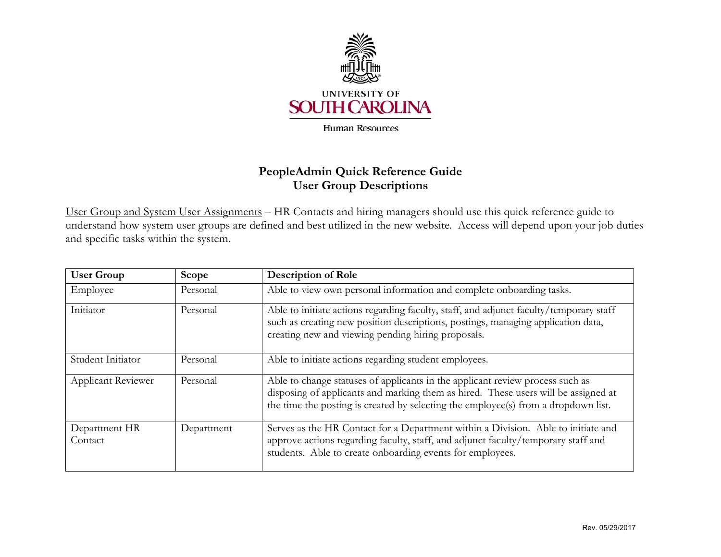

## **PeopleAdmin Quick Reference Guide User Group Descriptions**

 understand how system user groups are defined and best utilized in the new website. Access will depend upon your job duties and specific tasks within the system. User Group and System User Assignments – HR Contacts and hiring managers should use this quick reference guide to

| <b>User Group</b>         | Scope      | <b>Description of Role</b>                                                                                                                                                                                                                                |
|---------------------------|------------|-----------------------------------------------------------------------------------------------------------------------------------------------------------------------------------------------------------------------------------------------------------|
| Employee                  | Personal   | Able to view own personal information and complete onboarding tasks.                                                                                                                                                                                      |
| Initiator                 | Personal   | Able to initiate actions regarding faculty, staff, and adjunct faculty/temporary staff<br>such as creating new position descriptions, postings, managing application data,<br>creating new and viewing pending hiring proposals.                          |
| Student Initiator         | Personal   | Able to initiate actions regarding student employees.                                                                                                                                                                                                     |
| <b>Applicant Reviewer</b> | Personal   | Able to change statuses of applicants in the applicant review process such as<br>disposing of applicants and marking them as hired. These users will be assigned at<br>the time the posting is created by selecting the employee(s) from a dropdown list. |
| Department HR<br>Contact  | Department | Serves as the HR Contact for a Department within a Division. Able to initiate and<br>approve actions regarding faculty, staff, and adjunct faculty/temporary staff and<br>students. Able to create onboarding events for employees.                       |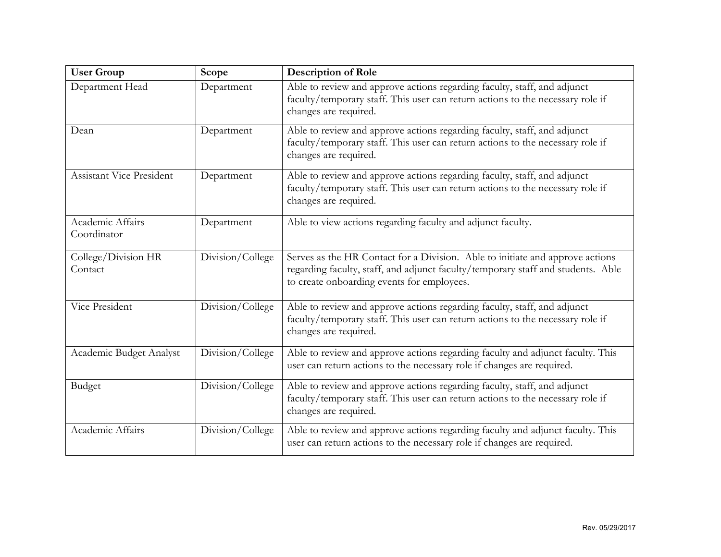| <b>User Group</b>               | Scope            | <b>Description of Role</b>                                                                                                                                                                                      |
|---------------------------------|------------------|-----------------------------------------------------------------------------------------------------------------------------------------------------------------------------------------------------------------|
| Department Head                 | Department       | Able to review and approve actions regarding faculty, staff, and adjunct<br>faculty/temporary staff. This user can return actions to the necessary role if<br>changes are required.                             |
| Dean                            | Department       | Able to review and approve actions regarding faculty, staff, and adjunct<br>faculty/temporary staff. This user can return actions to the necessary role if<br>changes are required.                             |
| <b>Assistant Vice President</b> | Department       | Able to review and approve actions regarding faculty, staff, and adjunct<br>faculty/temporary staff. This user can return actions to the necessary role if<br>changes are required.                             |
| Academic Affairs<br>Coordinator | Department       | Able to view actions regarding faculty and adjunct faculty.                                                                                                                                                     |
| College/Division HR<br>Contact  | Division/College | Serves as the HR Contact for a Division. Able to initiate and approve actions<br>regarding faculty, staff, and adjunct faculty/temporary staff and students. Able<br>to create onboarding events for employees. |
| Vice President                  | Division/College | Able to review and approve actions regarding faculty, staff, and adjunct<br>faculty/temporary staff. This user can return actions to the necessary role if<br>changes are required.                             |
| Academic Budget Analyst         | Division/College | Able to review and approve actions regarding faculty and adjunct faculty. This<br>user can return actions to the necessary role if changes are required.                                                        |
| Budget                          | Division/College | Able to review and approve actions regarding faculty, staff, and adjunct<br>faculty/temporary staff. This user can return actions to the necessary role if<br>changes are required.                             |
| Academic Affairs                | Division/College | Able to review and approve actions regarding faculty and adjunct faculty. This<br>user can return actions to the necessary role if changes are required.                                                        |